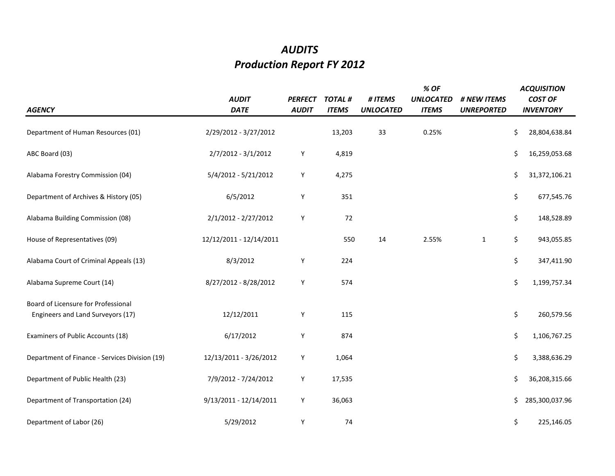## *AUDITS Production Report FY 2012*

| <b>AGENCY</b>                                                            | <b>AUDIT</b><br><b>DATE</b> | <b>PERFECT</b><br><b>AUDIT</b> | <b>TOTAL#</b><br><b>ITEMS</b> | # ITEMS<br><b>UNLOCATED</b> | % OF<br><b>UNLOCATED</b><br><b>ITEMS</b> | # NEW ITEMS<br><b>UNREPORTED</b> | <b>ACQUISITION</b><br><b>COST OF</b><br><b>INVENTORY</b> |
|--------------------------------------------------------------------------|-----------------------------|--------------------------------|-------------------------------|-----------------------------|------------------------------------------|----------------------------------|----------------------------------------------------------|
| Department of Human Resources (01)                                       | 2/29/2012 - 3/27/2012       |                                | 13,203                        | 33                          | 0.25%                                    |                                  | \$<br>28,804,638.84                                      |
| ABC Board (03)                                                           | 2/7/2012 - 3/1/2012         | Υ                              | 4,819                         |                             |                                          |                                  | \$<br>16,259,053.68                                      |
| Alabama Forestry Commission (04)                                         | 5/4/2012 - 5/21/2012        | Y                              | 4,275                         |                             |                                          |                                  | \$<br>31,372,106.21                                      |
| Department of Archives & History (05)                                    | 6/5/2012                    | Υ                              | 351                           |                             |                                          |                                  | \$<br>677,545.76                                         |
| Alabama Building Commission (08)                                         | 2/1/2012 - 2/27/2012        | Y                              | 72                            |                             |                                          |                                  | \$<br>148,528.89                                         |
| House of Representatives (09)                                            | 12/12/2011 - 12/14/2011     |                                | 550                           | 14                          | 2.55%                                    | $\mathbf{1}$                     | \$<br>943,055.85                                         |
| Alabama Court of Criminal Appeals (13)                                   | 8/3/2012                    | Y                              | 224                           |                             |                                          |                                  | \$<br>347,411.90                                         |
| Alabama Supreme Court (14)                                               | 8/27/2012 - 8/28/2012       | Y                              | 574                           |                             |                                          |                                  | \$<br>1,199,757.34                                       |
| Board of Licensure for Professional<br>Engineers and Land Surveyors (17) | 12/12/2011                  | Y                              | 115                           |                             |                                          |                                  | \$<br>260,579.56                                         |
| Examiners of Public Accounts (18)                                        | 6/17/2012                   | Υ                              | 874                           |                             |                                          |                                  | \$<br>1,106,767.25                                       |
| Department of Finance - Services Division (19)                           | 12/13/2011 - 3/26/2012      | Υ                              | 1,064                         |                             |                                          |                                  | \$<br>3,388,636.29                                       |
| Department of Public Health (23)                                         | 7/9/2012 - 7/24/2012        | Υ                              | 17,535                        |                             |                                          |                                  | \$<br>36,208,315.66                                      |
| Department of Transportation (24)                                        | 9/13/2011 - 12/14/2011      | Υ                              | 36,063                        |                             |                                          |                                  | \$<br>285,300,037.96                                     |
| Department of Labor (26)                                                 | 5/29/2012                   | Υ                              | 74                            |                             |                                          |                                  | \$<br>225,146.05                                         |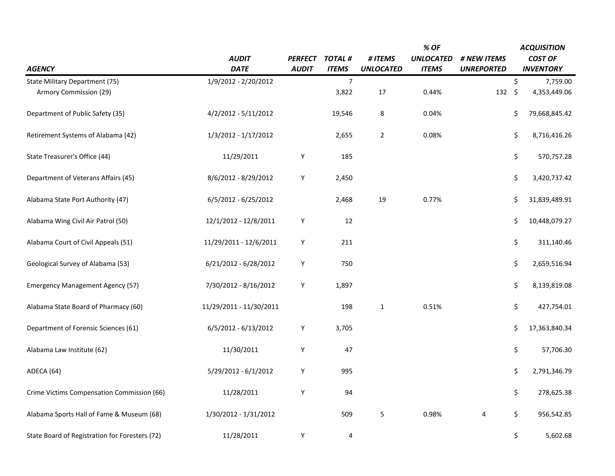| <b>AGENCY</b>                                  | <b>AUDIT</b><br><b>DATE</b> | <b>PERFECT</b><br><b>AUDIT</b> | <b>TOTAL#</b><br><b>ITEMS</b> | # ITEMS<br><b>UNLOCATED</b> | % OF<br><b>UNLOCATED</b><br><b>ITEMS</b> | # NEW ITEMS<br><b>UNREPORTED</b> | <b>ACQUISITION</b><br><b>COST OF</b><br><b>INVENTORY</b> |
|------------------------------------------------|-----------------------------|--------------------------------|-------------------------------|-----------------------------|------------------------------------------|----------------------------------|----------------------------------------------------------|
| State Military Department (75)                 | 1/9/2012 - 2/20/2012        |                                | $\overline{7}$                |                             |                                          |                                  | \$<br>7,759.00                                           |
| Armory Commission (29)                         |                             |                                | 3,822                         | 17                          | 0.44%                                    | 132                              | \$<br>4,353,449.06                                       |
| Department of Public Safety (35)               | 4/2/2012 - 5/11/2012        |                                | 19,546                        | $\bf 8$                     | 0.04%                                    |                                  | \$<br>79,668,845.42                                      |
| Retirement Systems of Alabama (42)             | 1/3/2012 - 1/17/2012        |                                | 2,655                         | $\overline{2}$              | 0.08%                                    |                                  | \$<br>8,716,416.26                                       |
| State Treasurer's Office (44)                  | 11/29/2011                  | Y                              | 185                           |                             |                                          |                                  | \$<br>570,757.28                                         |
| Department of Veterans Affairs (45)            | 8/6/2012 - 8/29/2012        | Y                              | 2,450                         |                             |                                          |                                  | \$<br>3,420,737.42                                       |
| Alabama State Port Authority (47)              | 6/5/2012 - 6/25/2012        |                                | 2,468                         | 19                          | 0.77%                                    |                                  | \$<br>31,839,489.91                                      |
| Alabama Wing Civil Air Patrol (50)             | 12/1/2012 - 12/8/2011       | Υ                              | 12                            |                             |                                          |                                  | \$<br>10,448,079.27                                      |
| Alabama Court of Civil Appeals (51)            | 11/29/2011 - 12/6/2011      | Y                              | 211                           |                             |                                          |                                  | \$<br>311,140.46                                         |
| Geological Survey of Alabama (53)              | 6/21/2012 - 6/28/2012       | Υ                              | 750                           |                             |                                          |                                  | \$<br>2,659,516.94                                       |
| <b>Emergency Management Agency (57)</b>        | 7/30/2012 - 8/16/2012       | Υ                              | 1,897                         |                             |                                          |                                  | \$<br>8,139,819.08                                       |
| Alabama State Board of Pharmacy (60)           | 11/29/2011 - 11/30/2011     |                                | 198                           | $\mathbf 1$                 | 0.51%                                    |                                  | \$<br>427,754.01                                         |
| Department of Forensic Sciences (61)           | 6/5/2012 - 6/13/2012        | Υ                              | 3,705                         |                             |                                          |                                  | \$<br>17,363,840.34                                      |
| Alabama Law Institute (62)                     | 11/30/2011                  | Υ                              | 47                            |                             |                                          |                                  | \$<br>57,706.30                                          |
| ADECA (64)                                     | 5/29/2012 - 6/1/2012        | Y                              | 995                           |                             |                                          |                                  | \$<br>2,791,346.79                                       |
| Crime Victims Compensation Commission (66)     | 11/28/2011                  | Υ                              | 94                            |                             |                                          |                                  | \$<br>278,625.38                                         |
| Alabama Sports Hall of Fame & Museum (68)      | 1/30/2012 - 1/31/2012       |                                | 509                           | 5                           | 0.98%                                    | 4                                | \$<br>956,542.85                                         |
| State Board of Registration for Foresters (72) | 11/28/2011                  | Υ                              | 4                             |                             |                                          |                                  | \$<br>5,602.68                                           |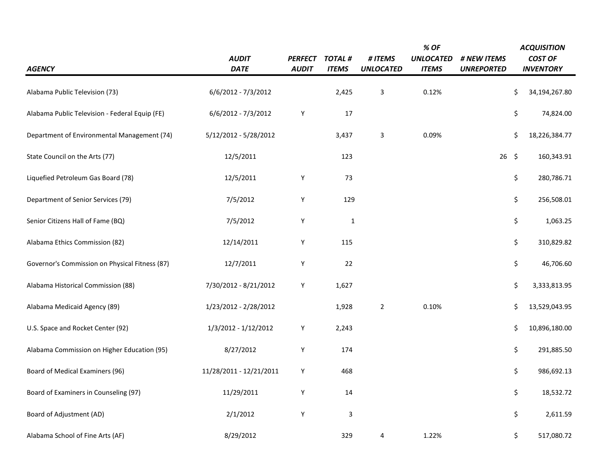|                                                |                         |                |               |                  | % OF             | <b>ACQUISITION</b> |                     |  |
|------------------------------------------------|-------------------------|----------------|---------------|------------------|------------------|--------------------|---------------------|--|
|                                                | <b>AUDIT</b>            | <b>PERFECT</b> | <b>TOTAL#</b> | # ITEMS          | <b>UNLOCATED</b> | # NEW ITEMS        | <b>COST OF</b>      |  |
| <b>AGENCY</b>                                  | <b>DATE</b>             | <b>AUDIT</b>   | <b>ITEMS</b>  | <b>UNLOCATED</b> | <b>ITEMS</b>     | <b>UNREPORTED</b>  | <b>INVENTORY</b>    |  |
| Alabama Public Television (73)                 | 6/6/2012 - 7/3/2012     |                | 2,425         | $\mathbf{3}$     | 0.12%            |                    | \$<br>34,194,267.80 |  |
| Alabama Public Television - Federal Equip (FE) | 6/6/2012 - 7/3/2012     | Y              | 17            |                  |                  |                    | \$<br>74,824.00     |  |
| Department of Environmental Management (74)    | 5/12/2012 - 5/28/2012   |                | 3,437         | $\mathsf 3$      | 0.09%            |                    | \$<br>18,226,384.77 |  |
| State Council on the Arts (77)                 | 12/5/2011               |                | 123           |                  |                  | $26 \quad $$       | 160,343.91          |  |
| Liquefied Petroleum Gas Board (78)             | 12/5/2011               | Y              | 73            |                  |                  |                    | \$<br>280,786.71    |  |
| Department of Senior Services (79)             | 7/5/2012                | Y              | 129           |                  |                  |                    | \$<br>256,508.01    |  |
| Senior Citizens Hall of Fame (BQ)              | 7/5/2012                | Y              | $\mathbf{1}$  |                  |                  |                    | \$<br>1,063.25      |  |
| Alabama Ethics Commission (82)                 | 12/14/2011              | Y              | 115           |                  |                  |                    | \$<br>310,829.82    |  |
| Governor's Commission on Physical Fitness (87) | 12/7/2011               | Y              | 22            |                  |                  |                    | \$<br>46,706.60     |  |
| Alabama Historical Commission (88)             | 7/30/2012 - 8/21/2012   | Y              | 1,627         |                  |                  |                    | \$<br>3,333,813.95  |  |
| Alabama Medicaid Agency (89)                   | 1/23/2012 - 2/28/2012   |                | 1,928         | $\overline{2}$   | 0.10%            |                    | 13,529,043.95<br>\$ |  |
| U.S. Space and Rocket Center (92)              | 1/3/2012 - 1/12/2012    | Y              | 2,243         |                  |                  |                    | \$<br>10,896,180.00 |  |
| Alabama Commission on Higher Education (95)    | 8/27/2012               | $\mathsf Y$    | 174           |                  |                  |                    | \$<br>291,885.50    |  |
| Board of Medical Examiners (96)                | 11/28/2011 - 12/21/2011 | Y              | 468           |                  |                  |                    | \$<br>986,692.13    |  |
| Board of Examiners in Counseling (97)          | 11/29/2011              | $\mathsf Y$    | 14            |                  |                  |                    | \$<br>18,532.72     |  |
| Board of Adjustment (AD)                       | 2/1/2012                | Y              | $\mathbf{3}$  |                  |                  |                    | \$<br>2,611.59      |  |
| Alabama School of Fine Arts (AF)               | 8/29/2012               |                | 329           | 4                | 1.22%            |                    | \$<br>517,080.72    |  |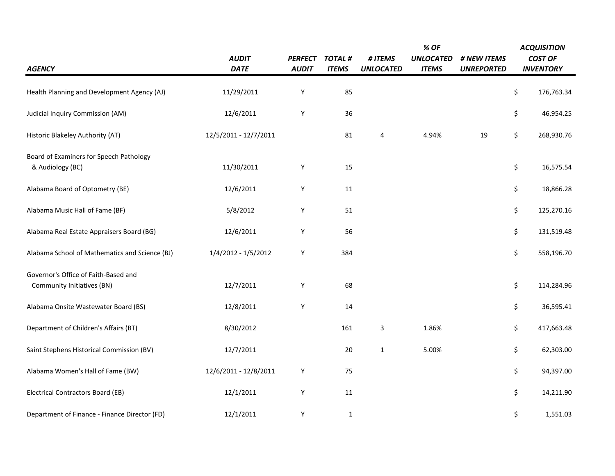|                                                                    |                       |                |               |                  | % OF             |                   |    | <b>ACQUISITION</b> |  |
|--------------------------------------------------------------------|-----------------------|----------------|---------------|------------------|------------------|-------------------|----|--------------------|--|
|                                                                    | <b>AUDIT</b>          | <b>PERFECT</b> | <b>TOTAL#</b> | # ITEMS          | <b>UNLOCATED</b> | # NEW ITEMS       |    | <b>COST OF</b>     |  |
| <b>AGENCY</b>                                                      | <b>DATE</b>           | <b>AUDIT</b>   | <b>ITEMS</b>  | <b>UNLOCATED</b> | <b>ITEMS</b>     | <b>UNREPORTED</b> |    | <b>INVENTORY</b>   |  |
| Health Planning and Development Agency (AJ)                        | 11/29/2011            | Y              | 85            |                  |                  |                   | \$ | 176,763.34         |  |
| Judicial Inquiry Commission (AM)                                   | 12/6/2011             | Y              | 36            |                  |                  |                   | \$ | 46,954.25          |  |
| Historic Blakeley Authority (AT)                                   | 12/5/2011 - 12/7/2011 |                | 81            | 4                | 4.94%            | 19                | \$ | 268,930.76         |  |
| Board of Examiners for Speech Pathology<br>& Audiology (BC)        | 11/30/2011            | Y              | 15            |                  |                  |                   | \$ | 16,575.54          |  |
| Alabama Board of Optometry (BE)                                    | 12/6/2011             | Υ              | 11            |                  |                  |                   | \$ | 18,866.28          |  |
| Alabama Music Hall of Fame (BF)                                    | 5/8/2012              | Y              | 51            |                  |                  |                   | \$ | 125,270.16         |  |
| Alabama Real Estate Appraisers Board (BG)                          | 12/6/2011             | Y              | 56            |                  |                  |                   | \$ | 131,519.48         |  |
| Alabama School of Mathematics and Science (BJ)                     | 1/4/2012 - 1/5/2012   | Y              | 384           |                  |                  |                   | \$ | 558,196.70         |  |
| Governor's Office of Faith-Based and<br>Community Initiatives (BN) | 12/7/2011             | Y              | 68            |                  |                  |                   | \$ | 114,284.96         |  |
| Alabama Onsite Wastewater Board (BS)                               | 12/8/2011             | Y              | 14            |                  |                  |                   | \$ | 36,595.41          |  |
| Department of Children's Affairs (BT)                              | 8/30/2012             |                | 161           | 3                | 1.86%            |                   | \$ | 417,663.48         |  |
| Saint Stephens Historical Commission (BV)                          | 12/7/2011             |                | 20            | $\mathbf{1}$     | 5.00%            |                   | \$ | 62,303.00          |  |
| Alabama Women's Hall of Fame (BW)                                  | 12/6/2011 - 12/8/2011 | Y              | 75            |                  |                  |                   | \$ | 94,397.00          |  |
| <b>Electrical Contractors Board (EB)</b>                           | 12/1/2011             | Y              | 11            |                  |                  |                   | \$ | 14,211.90          |  |
| Department of Finance - Finance Director (FD)                      | 12/1/2011             | Υ              | $\mathbf 1$   |                  |                  |                   | \$ | 1,551.03           |  |